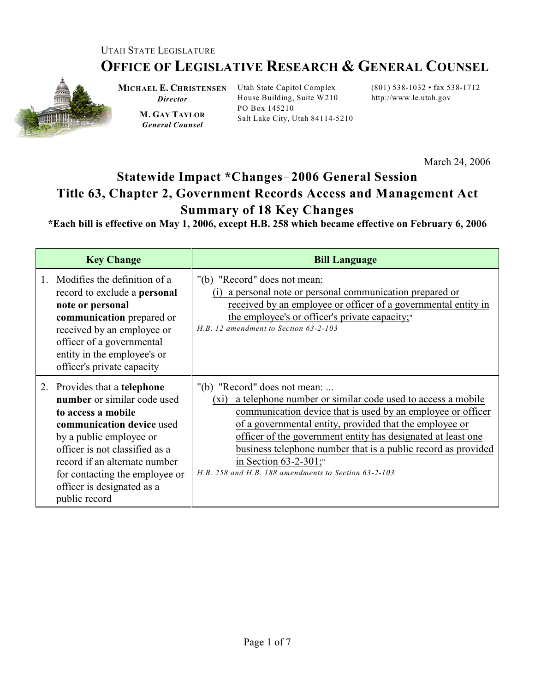## UTAH STATE LEGISLATURE

## **OFFICE OF LEGISLATIVE RESEARCH & GENERAL COUNSEL**



**MICHAEL E. CHRISTENSEN** Utah State Capitol Complex *Director*

**M. GAY TAYLOR** *General Counsel*

House Building, Suite W210 PO Box 145210 Salt Lake City, Utah 84114-5210

(801) 538-1032 • fax 538-1712 http://www.le.utah.gov

March 24, 2006

## **Statewide Impact \*Changes**!**2006 General Session Title 63, Chapter 2, Government Records Access and Management Act Summary of 18 Key Changes**

**\*Each bill is effective on May 1, 2006, except H.B. 258 which became effective on February 6, 2006**

| <b>Key Change</b>                                                                                                                                                                                                                                                                                    | <b>Bill Language</b>                                                                                                                                                                                                                                                                                                                                                                                                                                 |
|------------------------------------------------------------------------------------------------------------------------------------------------------------------------------------------------------------------------------------------------------------------------------------------------------|------------------------------------------------------------------------------------------------------------------------------------------------------------------------------------------------------------------------------------------------------------------------------------------------------------------------------------------------------------------------------------------------------------------------------------------------------|
| 1. Modifies the definition of a<br>record to exclude a <b>personal</b><br>note or personal<br>communication prepared or<br>received by an employee or<br>officer of a governmental<br>entity in the employee's or<br>officer's private capacity                                                      | "(b) "Record" does not mean:<br>(i) a personal note or personal communication prepared or<br>received by an employee or officer of a governmental entity in<br>the employee's or officer's private capacity;<br>$H.B. 12$ amendment to Section 63-2-103                                                                                                                                                                                              |
| 2. Provides that a telephone<br><b>number</b> or similar code used<br>to access a mobile<br>communication device used<br>by a public employee or<br>officer is not classified as a<br>record if an alternate number<br>for contacting the employee or<br>officer is designated as a<br>public record | "(b) "Record" does not mean:<br>a telephone number or similar code used to access a mobile<br>$(x_i)$<br>communication device that is used by an employee or officer<br>of a governmental entity, provided that the employee or<br>officer of the government entity has designated at least one<br>business telephone number that is a public record as provided<br>in Section $63-2-301$ ;"<br>H.B. 258 and H.B. 188 amendments to Section 63-2-103 |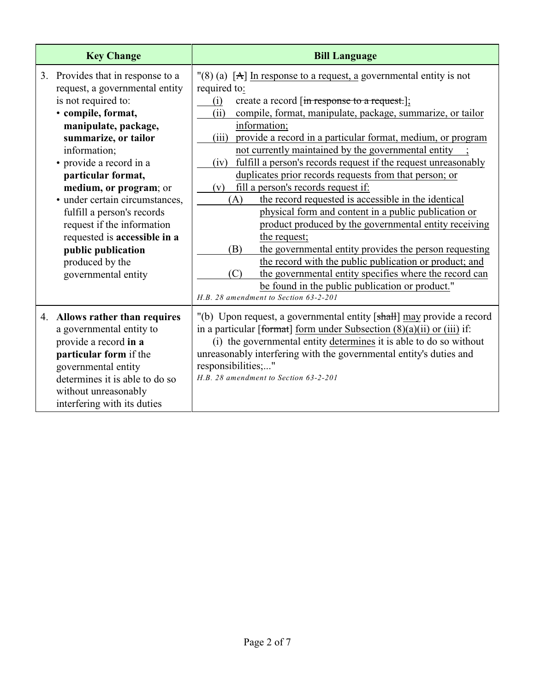| <b>Key Change</b>                                                                                                                                                                                                                                                                                                                                                                                                                                         | <b>Bill Language</b>                                                                                                                                                                                                                                                                                                                                                                                                                                                                                                                                                                                                                                                                                                                                                                                                                                                                                                                                                                                                                            |
|-----------------------------------------------------------------------------------------------------------------------------------------------------------------------------------------------------------------------------------------------------------------------------------------------------------------------------------------------------------------------------------------------------------------------------------------------------------|-------------------------------------------------------------------------------------------------------------------------------------------------------------------------------------------------------------------------------------------------------------------------------------------------------------------------------------------------------------------------------------------------------------------------------------------------------------------------------------------------------------------------------------------------------------------------------------------------------------------------------------------------------------------------------------------------------------------------------------------------------------------------------------------------------------------------------------------------------------------------------------------------------------------------------------------------------------------------------------------------------------------------------------------------|
| 3. Provides that in response to a<br>request, a governmental entity<br>is not required to:<br>· compile, format,<br>manipulate, package,<br>summarize, or tailor<br>information;<br>• provide a record in a<br>particular format,<br>medium, or program; or<br>· under certain circumstances,<br>fulfill a person's records<br>request if the information<br>requested is accessible in a<br>public publication<br>produced by the<br>governmental entity | $\Gamma(8)$ (a) [A] In response to a request, a governmental entity is not<br>required to:<br>create a record [in response to a request.];<br>(i)<br>compile, format, manipulate, package, summarize, or tailor<br>(ii)<br>information;<br>provide a record in a particular format, medium, or program<br>(iii)<br>not currently maintained by the governmental entity<br>fulfill a person's records request if the request unreasonably<br>(iv)<br>duplicates prior records requests from that person; or<br>fill a person's records request if:<br>(v)<br>the record requested is accessible in the identical<br>(A)<br>physical form and content in a public publication or<br>product produced by the governmental entity receiving<br>the request;<br>the governmental entity provides the person requesting<br>(B)<br>the record with the public publication or product; and<br>the governmental entity specifies where the record can<br>(C)<br>be found in the public publication or product."<br>H.B. 28 amendment to Section 63-2-201 |
| Allows rather than requires<br>4.<br>a governmental entity to<br>provide a record in a<br>particular form if the<br>governmental entity<br>determines it is able to do so<br>without unreasonably<br>interfering with its duties                                                                                                                                                                                                                          | "(b) Upon request, a governmental entity [shall] may provide a record<br>in a particular [format] form under Subsection $(8)(a)(ii)$ or $(iii)$ if:<br>(i) the governmental entity determines it is able to do so without<br>unreasonably interfering with the governmental entity's duties and<br>responsibilities;"<br>H.B. 28 amendment to Section 63-2-201                                                                                                                                                                                                                                                                                                                                                                                                                                                                                                                                                                                                                                                                                  |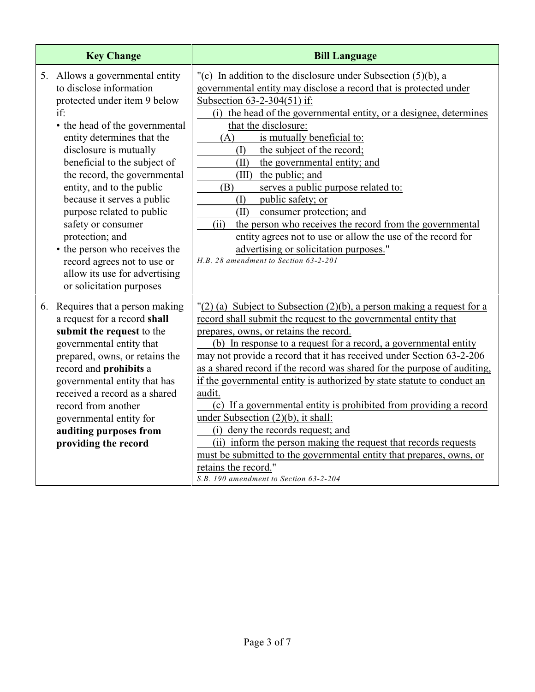| <b>Key Change</b>                                                                                                                                                                                                                                                                                                                                                                                                                                                                                                         | <b>Bill Language</b>                                                                                                                                                                                                                                                                                                                                                                                                                                                                                                                                                                                                                                                                                                                                                                                                                                              |
|---------------------------------------------------------------------------------------------------------------------------------------------------------------------------------------------------------------------------------------------------------------------------------------------------------------------------------------------------------------------------------------------------------------------------------------------------------------------------------------------------------------------------|-------------------------------------------------------------------------------------------------------------------------------------------------------------------------------------------------------------------------------------------------------------------------------------------------------------------------------------------------------------------------------------------------------------------------------------------------------------------------------------------------------------------------------------------------------------------------------------------------------------------------------------------------------------------------------------------------------------------------------------------------------------------------------------------------------------------------------------------------------------------|
| 5. Allows a governmental entity<br>to disclose information<br>protected under item 9 below<br>if:<br>• the head of the governmental<br>entity determines that the<br>disclosure is mutually<br>beneficial to the subject of<br>the record, the governmental<br>entity, and to the public<br>because it serves a public<br>purpose related to public<br>safety or consumer<br>protection; and<br>• the person who receives the<br>record agrees not to use or<br>allow its use for advertising<br>or solicitation purposes | $\vert$ (c) In addition to the disclosure under Subsection (5)(b), a<br>governmental entity may disclose a record that is protected under<br>Subsection 63-2-304(51) if:<br>(i) the head of the governmental entity, or a designee, determines<br>that the disclosure:<br>is mutually beneficial to:<br>(A)<br>the subject of the record;<br>(I)<br>the governmental entity; and<br>(II)<br>(III) the public; and<br>(B)<br>serves a public purpose related to:<br>public safety; or<br>(I)<br>(II)<br>consumer protection; and<br>(ii)<br>the person who receives the record from the governmental<br>entity agrees not to use or allow the use of the record for<br>advertising or solicitation purposes."<br>H.B. 28 amendment to Section 63-2-201                                                                                                             |
| 6. Requires that a person making<br>a request for a record shall<br>submit the request to the<br>governmental entity that<br>prepared, owns, or retains the<br>record and prohibits a<br>governmental entity that has<br>received a record as a shared<br>record from another<br>governmental entity for<br>auditing purposes from<br>providing the record                                                                                                                                                                | $''(2)$ (a) Subject to Subsection (2)(b), a person making a request for a<br>record shall submit the request to the governmental entity that<br>prepares, owns, or retains the record.<br>(b) In response to a request for a record, a governmental entity<br>may not provide a record that it has received under Section 63-2-206<br>as a shared record if the record was shared for the purpose of auditing,<br>if the governmental entity is authorized by state statute to conduct an<br>audit.<br>(c) If a governmental entity is prohibited from providing a record<br>under Subsection (2)(b), it shall:<br>(i) deny the records request; and<br>(ii) inform the person making the request that records requests<br>must be submitted to the governmental entity that prepares, owns, or<br>retains the record."<br>S.B. 190 amendment to Section 63-2-204 |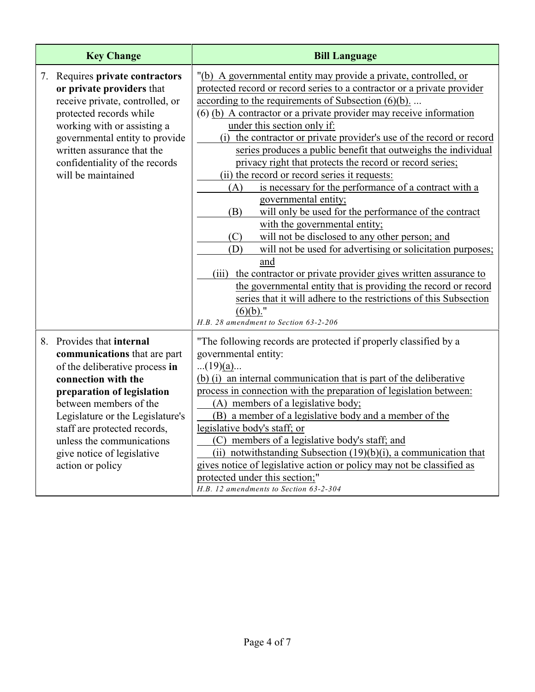| <b>Key Change</b>                                                                                                                                                                                                                                                                                                             | <b>Bill Language</b>                                                                                                                                                                                                                                                                                                                                                                                                                                                                                                                                                                                                                                                                                                                                                                                                                                                                                                                                                                                                                                                                                                                                                |
|-------------------------------------------------------------------------------------------------------------------------------------------------------------------------------------------------------------------------------------------------------------------------------------------------------------------------------|---------------------------------------------------------------------------------------------------------------------------------------------------------------------------------------------------------------------------------------------------------------------------------------------------------------------------------------------------------------------------------------------------------------------------------------------------------------------------------------------------------------------------------------------------------------------------------------------------------------------------------------------------------------------------------------------------------------------------------------------------------------------------------------------------------------------------------------------------------------------------------------------------------------------------------------------------------------------------------------------------------------------------------------------------------------------------------------------------------------------------------------------------------------------|
| 7. Requires private contractors<br>or private providers that<br>receive private, controlled, or<br>protected records while<br>working with or assisting a<br>governmental entity to provide<br>written assurance that the<br>confidentiality of the records<br>will be maintained                                             | "(b) A governmental entity may provide a private, controlled, or<br>protected record or record series to a contractor or a private provider<br>according to the requirements of Subsection $(6)(b)$<br>(6) (b) A contractor or a private provider may receive information<br>under this section only if:<br>(i) the contractor or private provider's use of the record or record<br>series produces a public benefit that outweighs the individual<br>privacy right that protects the record or record series;<br>(ii) the record or record series it requests:<br>is necessary for the performance of a contract with a<br>(A)<br>governmental entity;<br>will only be used for the performance of the contract<br>(B)<br>with the governmental entity;<br>will not be disclosed to any other person; and<br>(C)<br>will not be used for advertising or solicitation purposes;<br>(D)<br>and<br>(iii) the contractor or private provider gives written assurance to<br>the governmental entity that is providing the record or record<br>series that it will adhere to the restrictions of this Subsection<br>$(6)(b)$ ."<br>H.B. 28 amendment to Section 63-2-206 |
| 8. Provides that internal<br>communications that are part<br>of the deliberative process in<br>connection with the<br>preparation of legislation<br>between members of the<br>Legislature or the Legislature's<br>staff are protected records,<br>unless the communications<br>give notice of legislative<br>action or policy | "The following records are protected if properly classified by a<br>governmental entity:<br>$(19)(a)$<br>(b) (i) an internal communication that is part of the deliberative<br>process in connection with the preparation of legislation between:<br>(A) members of a legislative body;<br>(B) a member of a legislative body and a member of the<br>legislative body's staff; or<br>(C) members of a legislative body's staff; and<br>(ii) notwithstanding Subsection $(19)(b)(i)$ , a communication that<br>gives notice of legislative action or policy may not be classified as<br>protected under this section;"<br>H.B. 12 amendments to Section 63-2-304                                                                                                                                                                                                                                                                                                                                                                                                                                                                                                     |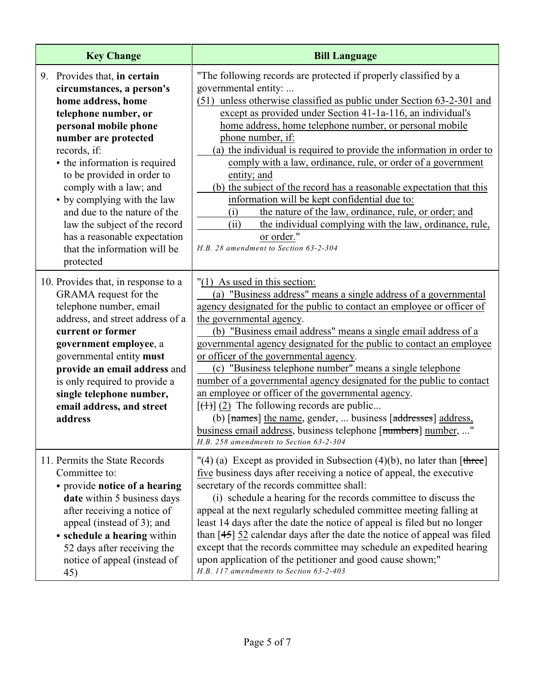| <b>Key Change</b>                                                                                                                                                                                                                                                                                                                                                                                                                              | <b>Bill Language</b>                                                                                                                                                                                                                                                                                                                                                                                                                                                                                                                                                                                                                                                                                                                                                                                                                    |
|------------------------------------------------------------------------------------------------------------------------------------------------------------------------------------------------------------------------------------------------------------------------------------------------------------------------------------------------------------------------------------------------------------------------------------------------|-----------------------------------------------------------------------------------------------------------------------------------------------------------------------------------------------------------------------------------------------------------------------------------------------------------------------------------------------------------------------------------------------------------------------------------------------------------------------------------------------------------------------------------------------------------------------------------------------------------------------------------------------------------------------------------------------------------------------------------------------------------------------------------------------------------------------------------------|
| 9. Provides that, in certain<br>circumstances, a person's<br>home address, home<br>telephone number, or<br>personal mobile phone<br>number are protected<br>records, if:<br>• the information is required<br>to be provided in order to<br>comply with a law; and<br>• by complying with the law<br>and due to the nature of the<br>law the subject of the record<br>has a reasonable expectation<br>that the information will be<br>protected | "The following records are protected if properly classified by a<br>governmental entity:<br>(51) unless otherwise classified as public under Section 63-2-301 and<br>except as provided under Section 41-1a-116, an individual's<br>home address, home telephone number, or personal mobile<br>phone number, if:<br>(a) the individual is required to provide the information in order to<br>comply with a law, ordinance, rule, or order of a government<br>entity; and<br>(b) the subject of the record has a reasonable expectation that this<br>information will be kept confidential due to:<br>the nature of the law, ordinance, rule, or order; and<br>(i)<br>the individual complying with the law, ordinance, rule,<br>(ii)<br>or order."<br>H.B. 28 amendment to Section 63-2-304                                             |
| 10. Provides that, in response to a<br>GRAMA request for the<br>telephone number, email<br>address, and street address of a<br>current or former<br>government employee, a<br>governmental entity must<br>provide an email address and<br>is only required to provide a<br>single telephone number,<br>email address, and street<br>address                                                                                                    | $"(1)$ As used in this section:<br>(a) "Business address" means a single address of a governmental<br>agency designated for the public to contact an employee or officer of<br>the governmental agency.<br>(b) "Business email address" means a single email address of a<br>governmental agency designated for the public to contact an employee<br>or officer of the governmental agency.<br>(c) "Business telephone number" means a single telephone<br>number of a governmental agency designated for the public to contact<br>an employee or officer of the governmental agency.<br>$[\left(\frac{1}{2}\right)]$ (2) The following records are public<br>(b) [names] the name, gender,  business [addresses] address,<br>business email address, business telephone [numbers] number, "<br>H.B. 258 amendments to Section 63-2-304 |
| 11. Permits the State Records<br>Committee to:<br>· provide notice of a hearing<br>date within 5 business days<br>after receiving a notice of<br>appeal (instead of 3); and<br>• schedule a hearing within<br>52 days after receiving the<br>notice of appeal (instead of<br>45)                                                                                                                                                               | "(4) (a) Except as provided in Subsection (4)(b), no later than $[there]$<br>five business days after receiving a notice of appeal, the executive<br>secretary of the records committee shall:<br>(i) schedule a hearing for the records committee to discuss the<br>appeal at the next regularly scheduled committee meeting falling at<br>least 14 days after the date the notice of appeal is filed but no longer<br>than $[45]$ 52 calendar days after the date the notice of appeal was filed<br>except that the records committee may schedule an expedited hearing<br>upon application of the petitioner and good cause shown;"<br>H.B. 117 amendments to Section 63-2-403                                                                                                                                                       |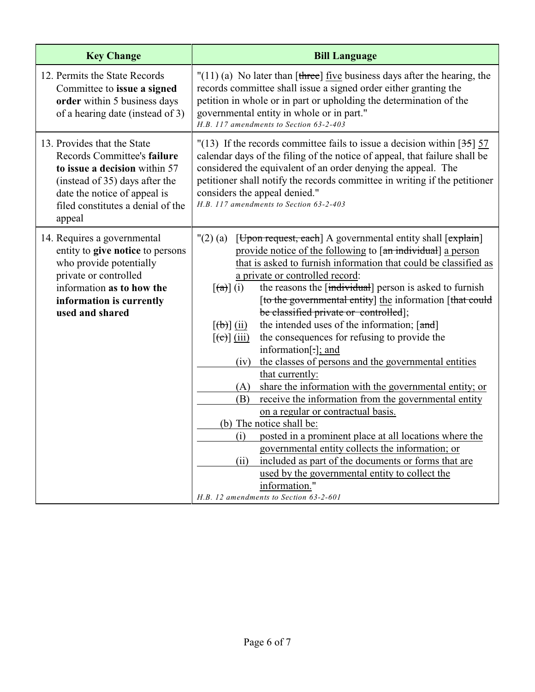| <b>Key Change</b>                                                                                                                                                                                            | <b>Bill Language</b>                                                                                                                                                                                                                                                                                                                                                                                                                                                                                                                                                                                                                                                                                                                                                                                                                                                                                                                                                                                                                                                                                                                                                                                                                                           |
|--------------------------------------------------------------------------------------------------------------------------------------------------------------------------------------------------------------|----------------------------------------------------------------------------------------------------------------------------------------------------------------------------------------------------------------------------------------------------------------------------------------------------------------------------------------------------------------------------------------------------------------------------------------------------------------------------------------------------------------------------------------------------------------------------------------------------------------------------------------------------------------------------------------------------------------------------------------------------------------------------------------------------------------------------------------------------------------------------------------------------------------------------------------------------------------------------------------------------------------------------------------------------------------------------------------------------------------------------------------------------------------------------------------------------------------------------------------------------------------|
| 12. Permits the State Records<br>Committee to issue a signed<br>order within 5 business days<br>of a hearing date (instead of 3)                                                                             | $"(11)$ (a) No later than [three] <u>five</u> business days after the hearing, the<br>records committee shall issue a signed order either granting the<br>petition in whole or in part or upholding the determination of the<br>governmental entity in whole or in part."<br>H.B. 117 amendments to Section 63-2-403                                                                                                                                                                                                                                                                                                                                                                                                                                                                                                                                                                                                                                                                                                                                                                                                                                                                                                                                           |
| 13. Provides that the State<br>Records Committee's failure<br>to issue a decision within 57<br>(instead of 35) days after the<br>date the notice of appeal is<br>filed constitutes a denial of the<br>appeal | "(13) If the records committee fails to issue a decision within $[35]$ 57<br>calendar days of the filing of the notice of appeal, that failure shall be<br>considered the equivalent of an order denying the appeal. The<br>petitioner shall notify the records committee in writing if the petitioner<br>considers the appeal denied."<br>H.B. 117 amendments to Section 63-2-403                                                                                                                                                                                                                                                                                                                                                                                                                                                                                                                                                                                                                                                                                                                                                                                                                                                                             |
| 14. Requires a governmental<br>entity to give notice to persons<br>who provide potentially<br>private or controlled<br>information as to how the<br>information is currently<br>used and shared              | [Upon request, each] A governmental entity shall [explain]<br>$"(2)$ (a)<br>provide notice of the following to [an individual] a person<br>that is asked to furnish information that could be classified as<br>a private or controlled record:<br>the reasons the [individual] person is asked to furnish<br>$[\left(\text{a}\right)]$ (i)<br>[to the governmental entity] the information [that could<br>be classified private or controlled];<br>the intended uses of the information; [and]<br>$\left[\left(\overline{b}\right)\right]\left(\overline{ii}\right)$<br>the consequences for refusing to provide the<br>$[\text{e}(\text{e})]$ (iii)<br>information[-]; and<br>the classes of persons and the governmental entities<br>(iv)<br>that currently:<br>share the information with the governmental entity; or<br>(A)<br>receive the information from the governmental entity<br>(B)<br>on a regular or contractual basis.<br>(b) The notice shall be:<br>(i) posted in a prominent place at all locations where the<br>governmental entity collects the information; or<br>(ii)<br>included as part of the documents or forms that are<br>used by the governmental entity to collect the<br>information."<br>H.B. 12 amendments to Section 63-2-601 |